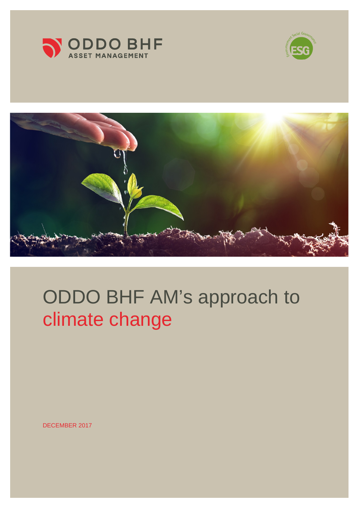





# ODDO BHF AM's approach to climate change

DECEMBER 2017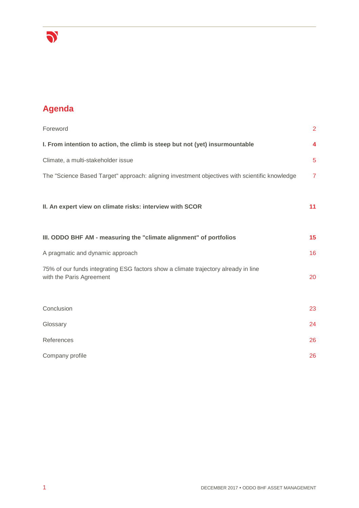

# **Agenda**

| Foreword                                                                                                       | $\overline{2}$ |
|----------------------------------------------------------------------------------------------------------------|----------------|
| I. From intention to action, the climb is steep but not (yet) insurmountable                                   | 4              |
| Climate, a multi-stakeholder issue                                                                             | 5              |
| The "Science Based Target" approach: aligning investment objectives with scientific knowledge                  | $\overline{7}$ |
| II. An expert view on climate risks: interview with SCOR                                                       | 11             |
| III. ODDO BHF AM - measuring the "climate alignment" of portfolios                                             | 15             |
| A pragmatic and dynamic approach                                                                               | 16             |
| 75% of our funds integrating ESG factors show a climate trajectory already in line<br>with the Paris Agreement | 20             |
| Conclusion                                                                                                     | 23             |
| Glossary                                                                                                       | 24             |
| References                                                                                                     | 26             |
| Company profile                                                                                                | 26             |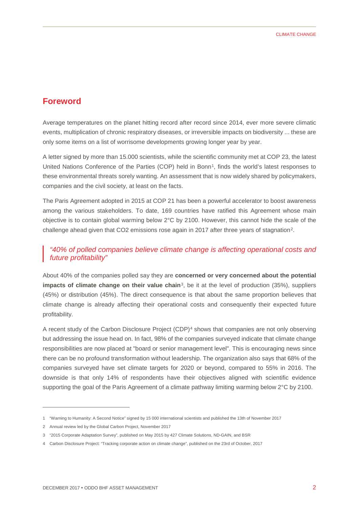## **Foreword**

Average temperatures on the planet hitting record after record since 2014, ever more severe climatic events, multiplication of chronic respiratory diseases, or irreversible impacts on biodiversity ... these are only some items on a list of worrisome developments growing longer year by year.

A letter signed by more than 15.000 scientists, while the scientific community met at COP 23, the latest United Nations Conference of the Parties (COP) held in Bonn<sup>1</sup>, finds the world's latest responses to these environmental threats sorely wanting. An assessment that is now widely shared by policymakers, companies and the civil society, at least on the facts.

The Paris Agreement adopted in 2015 at COP 21 has been a powerful accelerator to boost awareness among the various stakeholders. To date, 169 countries have ratified this Agreement whose main objective is to contain global warming below 2°C by 2100. However, this cannot hide the scale of the challenge ahead given that CO2 emissions rose again in 2017 after three years of stagnation<sup>2</sup>.

#### *"40% of polled companies believe climate change is affecting operational costs and future profitability"*

About 40% of the companies polled say they are **concerned or very concerned about the potential impacts of climate change on their value chain**<sup>3</sup>, be it at the level of production (35%), suppliers (45%) or distribution (45%). The direct consequence is that about the same proportion believes that climate change is already affecting their operational costs and consequently their expected future profitability.

A recent study of the Carbon Disclosure Project (CDP)[4](#page-2-3) shows that companies are not only observing but addressing the issue head on. In fact, 98% of the companies surveyed indicate that climate change responsibilities are now placed at "board or senior management level". This is encouraging news since there can be no profound transformation without leadership. The organization also says that 68% of the companies surveyed have set climate targets for 2020 or beyond, compared to 55% in 2016. The downside is that only 14% of respondents have their objectives aligned with scientific evidence supporting the goal of the Paris Agreement of a climate pathway limiting warming below 2°C by 2100.

-

<span id="page-2-0"></span><sup>1</sup> "Warning to Humanity: A Second Notice" signed by 15 000 international scientists and published the 13th of November 2017

<span id="page-2-1"></span><sup>2</sup> Annual review led by the Global Carbon Project, November 2017

<span id="page-2-2"></span><sup>3</sup> "2015 Corporate Adaptation Survey", published on May 2015 by 427 Climate Solutions, ND-GAIN, and BSR

<span id="page-2-3"></span><sup>4</sup> Carbon Disclosure Project: "Tracking corporate action on climate change", published on the 23rd of October, 2017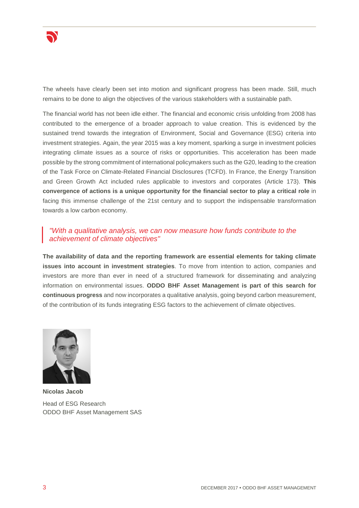

The wheels have clearly been set into motion and significant progress has been made. Still, much remains to be done to align the objectives of the various stakeholders with a sustainable path.

The financial world has not been idle either. The financial and economic crisis unfolding from 2008 has contributed to the emergence of a broader approach to value creation. This is evidenced by the sustained trend towards the integration of Environment, Social and Governance (ESG) criteria into investment strategies. Again, the year 2015 was a key moment, sparking a surge in investment policies integrating climate issues as a source of risks or opportunities. This acceleration has been made possible by the strong commitment of international policymakers such as the G20, leading to the creation of the Task Force on Climate-Related Financial Disclosures (TCFD). In France, the Energy Transition and Green Growth Act included rules applicable to investors and corporates (Article 173). **This convergence of actions is a unique opportunity for the financial sector to play a critical role** in facing this immense challenge of the 21st century and to support the indispensable transformation towards a low carbon economy.

#### *"With a qualitative analysis, we can now measure how funds contribute to the achievement of climate objectives"*

**The availability of data and the reporting framework are essential elements for taking climate issues into account in investment strategies**. To move from intention to action, companies and investors are more than ever in need of a structured framework for disseminating and analyzing information on environmental issues. **ODDO BHF Asset Management is part of this search for continuous progress** and now incorporates a qualitative analysis, going beyond carbon measurement, of the contribution of its funds integrating ESG factors to the achievement of climate objectives.



**Nicolas Jacob** Head of ESG Research ODDO BHF Asset Management SAS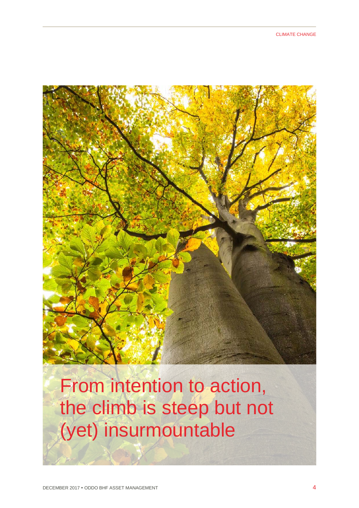

From intention to action, the climb is steep but not (yet) insurmountable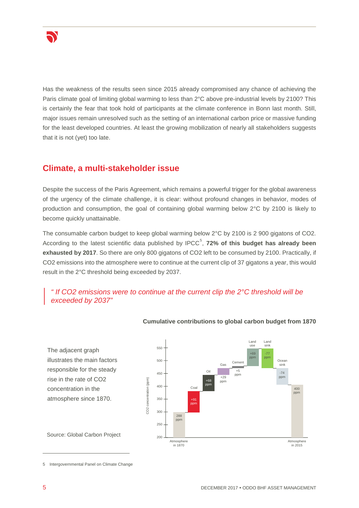

Has the weakness of the results seen since 2015 already compromised any chance of achieving the Paris climate goal of limiting global warming to less than 2°C above pre-industrial levels by 2100? This is certainly the fear that took hold of participants at the climate conference in Bonn last month. Still, major issues remain unresolved such as the setting of an international carbon price or massive funding for the least developed countries. At least the growing mobilization of nearly all stakeholders suggests that it is not (yet) too late.

# **Climate, a multi-stakeholder issue**

Despite the success of the Paris Agreement, which remains a powerful trigger for the global awareness of the urgency of the climate challenge, it is clear: without profound changes in behavior, modes of production and consumption, the goal of containing global warming below 2°C by 2100 is likely to become quickly unattainable.

The consumable carbon budget to keep global warming below 2°C by 2100 is 2 900 gigatons of CO2. According to the latest scientific data published by IPCC<sup>[5](#page-5-0)</sup>, 72% of this budget has already been **exhausted by 2017**. So there are only 800 gigatons of CO2 left to be consumed by 2100. Practically, if CO2 emissions into the atmosphere were to continue at the current clip of 37 gigatons a year, this would result in the 2°C threshold being exceeded by 2037.

## *" If CO2 emissions were to continue at the current clip the 2°C threshold will be exceeded by 2037"*



**Cumulative contributions to global carbon budget from 1870**

The adjacent graph illustrates the main factors responsible for the steady rise in the rate of CO2 concentration in the atmosphere since 1870.

Source: Global Carbon Project

<span id="page-5-0"></span>5 Intergovernmental Panel on Climate Change

-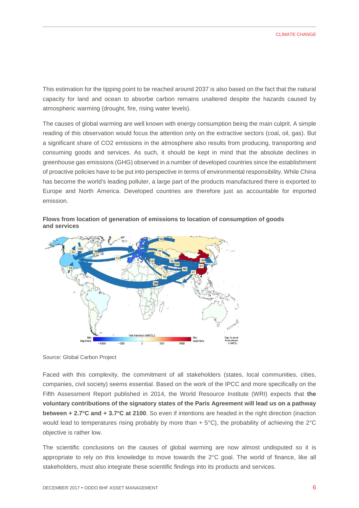This estimation for the tipping point to be reached around 2037 is also based on the fact that the natural capacity for land and ocean to absorbe carbon remains unaltered despite the hazards caused by atmospheric warming (drought, fire, rising water levels).

The causes of global warming are well known with energy consumption being the main culprit. A simple reading of this observation would focus the attention only on the extractive sectors (coal, oil, gas). But a significant share of CO2 emissions in the atmosphere also results from producing, transporting and consuming goods and services. As such, it should be kept in mind that the absolute declines in greenhouse gas emissions (GHG) observed in a number of developed countries since the establishment of proactive policies have to be put into perspective in terms of environmental responsibility. While China has become the world's leading polluter, a large part of the products manufactured there is exported to Europe and North America. Developed countries are therefore just as accountable for imported emission.





Source: Global Carbon Project

Faced with this complexity, the commitment of all stakeholders (states, local communities, cities, companies, civil society) seems essential. Based on the work of the IPCC and more specifically on the Fifth Assessment Report published in 2014, the World Resource Institute (WRI) expects that **the voluntary contributions of the signatory states of the Paris Agreement will lead us on a pathway between + 2.7°C and + 3.7°C at 2100**. So even if intentions are headed in the right direction (inaction would lead to temperatures rising probably by more than  $+ 5^{\circ}$ C), the probability of achieving the 2 $^{\circ}$ C objective is rather low.

The scientific conclusions on the causes of global warming are now almost undisputed so it is appropriate to rely on this knowledge to move towards the 2°C goal. The world of finance, like all stakeholders, must also integrate these scientific findings into its products and services.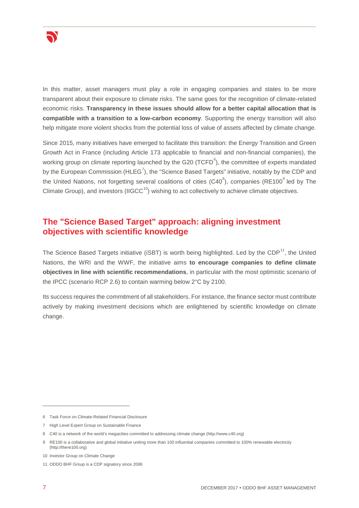

In this matter, asset managers must play a role in engaging companies and states to be more transparent about their exposure to climate risks. The same goes for the recognition of climate-related economic risks. **Transparency in these issues should allow for a better capital allocation that is compatible with a transition to a low-carbon economy**. Supporting the energy transition will also help mitigate more violent shocks from the potential loss of value of assets affected by climate change.

Since 2015, many initiatives have emerged to facilitate this transition: the Energy Transition and Green Growth Act in France (including Article 173 applicable to financial and non-financial companies), the working group on climate reporting launched by the G20 (TCFD $^6$  $^6$ ), the committee of experts mandated by the European Commission (HLEG<sup>[7](#page-7-1)</sup>), the "Science Based Targets" initiative, notably by the CDP and the United Nations, not forgetting several coalitions of cities (C40<sup>[8](#page-7-2)</sup>), companies (RE100<sup>[9](#page-7-3)</sup> led by The Climate Group), and investors (IIGCC $<sup>10</sup>$ ) wishing to act collectively to achieve climate objectives.</sup>

# **The "Science Based Target" approach: aligning investment objectives with scientific knowledge**

The Science Based Targets initiative (iSBT) is worth being highlighted. Led by the CDP<sup>11</sup>, the United Nations, the WRI and the WWF, the initiative aims **to encourage companies to define climate objectives in line with scientific recommendations**, in particular with the most optimistic scenario of the IPCC (scenario RCP 2.6) to contain warming below 2°C by 2100.

Its success requires the commitment of all stakeholders. For instance, the finance sector must contribute actively by making investment decisions which are enlightened by scientific knowledge on climate change.

-

<span id="page-7-0"></span><sup>6</sup> Task Force on Climate-Related Financial Disclosure

<span id="page-7-1"></span><sup>7</sup> High Level Expert Group on Sustainable Finance

<span id="page-7-2"></span><sup>8</sup> C40 is a network of the world's megacities committed to addressing climate change (http://www.c40.org)

<span id="page-7-3"></span><sup>9</sup> RE100 is a collaborative and global initiative uniting more than 100 influential companies committed to 100% renewable electricity (http://there100.org)

<span id="page-7-4"></span><sup>10</sup> Investor Group on Climate Change

<span id="page-7-5"></span><sup>11</sup> ODDO BHF Group is a CDP signatory since 2006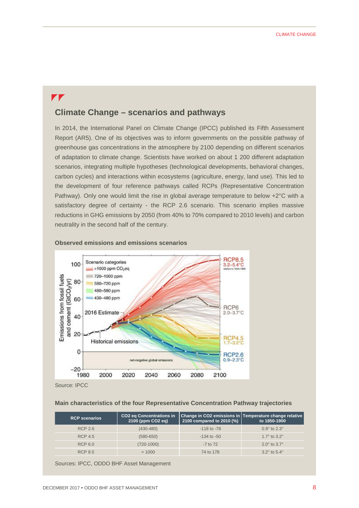# $\mathbf{r}$

# **Climate Change – scenarios and pathways**

In 2014, the International Panel on Climate Change (IPCC) published its Fifth Assessment Report (AR5). One of its objectives was to inform governments on the possible pathway of greenhouse gas concentrations in the atmosphere by 2100 depending on different scenarios of adaptation to climate change. Scientists have worked on about 1 200 different adaptation scenarios, integrating multiple hypotheses (technological developments, behavioral changes, carbon cycles) and interactions within ecosystems (agriculture, energy, land use). This led to the development of four reference pathways called RCPs (Representative Concentration Pathway). Only one would limit the rise in global average temperature to below +2°C with a satisfactory degree of certainty - the RCP 2.6 scenario. This scenario implies massive reductions in GHG emissions by 2050 (from 40% to 70% compared to 2010 levels) and carbon neutrality in the second half of the century.



#### **Observed emissions and emissions scenarios**

Source: IPCC

#### **Main characteristics of the four Representative Concentration Pathway trajectories**

| <b>RCP scenarios</b> | <b>CO2 eq Concentrations in</b><br>2100 (ppm CO2 eq) | 2100 compared to 2010 (%) | Change in CO2 emissions in Temperature change relative<br>to 1850-1900 |
|----------------------|------------------------------------------------------|---------------------------|------------------------------------------------------------------------|
| <b>RCP 2.6</b>       | $(430 - 480)$                                        | $-118$ to $-78$           | $0.9^{\circ}$ to $2.3^{\circ}$                                         |
| <b>RCP 4.5</b>       | $(580 - 650)$                                        | $-134$ to $-50$           | 1.7 $\degree$ to 3.2 $\degree$                                         |
| RCP 6.0              | (720-1000)                                           | $-7$ to $72$              | $2.0^{\circ}$ to $3.7^{\circ}$                                         |
| <b>RCP 8.5</b>       | >1000                                                | 74 to 178                 | $3.2^{\circ}$ to $5.4^{\circ}$                                         |

Sources: IPCC, ODDO BHF Asset Management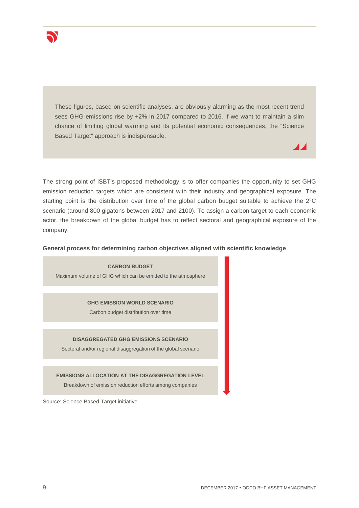

These figures, based on scientific analyses, are obviously alarming as the most recent trend sees GHG emissions rise by +2% in 2017 compared to 2016. If we want to maintain a slim chance of limiting global warming and its potential economic consequences, the "Science Based Target" approach is indispensable.

The strong point of iSBT's proposed methodology is to offer companies the opportunity to set GHG emission reduction targets which are consistent with their industry and geographical exposure. The starting point is the distribution over time of the global carbon budget suitable to achieve the 2°C scenario (around 800 gigatons between 2017 and 2100). To assign a carbon target to each economic actor, the breakdown of the global budget has to reflect sectoral and geographical exposure of the company.

#### **General process for determining carbon objectives aligned with scientific knowledge**

**CARBON BUDGET** Maximum volume of GHG which can be emitted to the atmosphere

**GHG EMISSION WORLD SCENARIO**

Carbon budget distribution over time

#### **DISAGGREGATED GHG EMISSIONS SCENARIO**

Sectoral and/or regional disaggregation of the global scenario

#### **EMISSIONS ALLOCATION AT THE DISAGGREGATION LEVEL**

Breakdown of emission reduction efforts among companies

Source: Science Based Target initiative

 $\blacktriangle$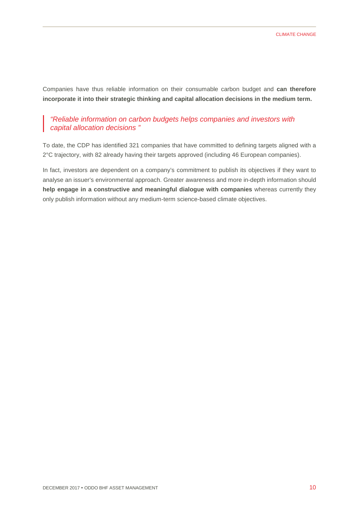Companies have thus reliable information on their consumable carbon budget and **can therefore incorporate it into their strategic thinking and capital allocation decisions in the medium term.**

#### *"Reliable information on carbon budgets helps companies and investors with capital allocation decisions "*

To date, the CDP has identified 321 companies that have committed to defining targets aligned with a 2°C trajectory, with 82 already having their targets approved (including 46 European companies).

In fact, investors are dependent on a company's commitment to publish its objectives if they want to analyse an issuer's environmental approach. Greater awareness and more in-depth information should **help engage in a constructive and meaningful dialogue with companies** whereas currently they only publish information without any medium-term science-based climate objectives.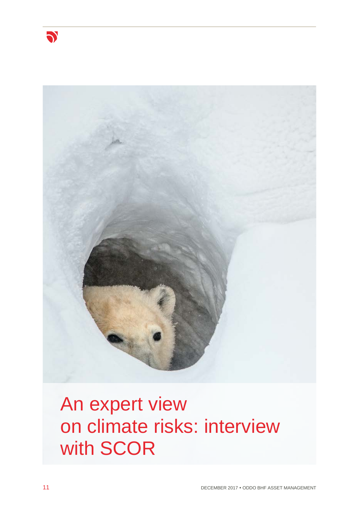



# An expert view on climate risks: interview with SCOR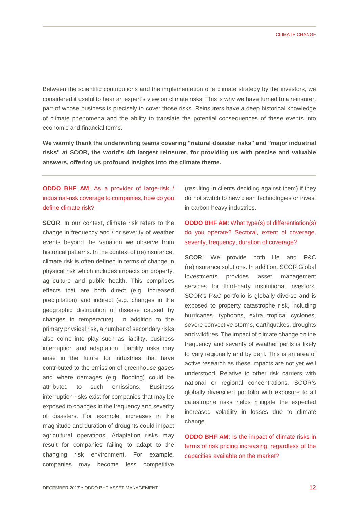Between the scientific contributions and the implementation of a climate strategy by the investors, we considered it useful to hear an expert's view on climate risks. This is why we have turned to a reinsurer, part of whose business is precisely to cover those risks. Reinsurers have a deep historical knowledge of climate phenomena and the ability to translate the potential consequences of these events into economic and financial terms.

**We warmly thank the underwriting teams covering "natural disaster risks" and "major industrial risks" at SCOR, the world's 4th largest reinsurer, for providing us with precise and valuable answers, offering us profound insights into the climate theme.**

## **ODDO BHF AM**: As a provider of large-risk / industrial-risk coverage to companies, how do you define climate risk?

**SCOR:** In our context, climate risk refers to the change in frequency and / or severity of weather events beyond the variation we observe from historical patterns. In the context of (re)insurance, climate risk is often defined in terms of change in physical risk which includes impacts on property, agriculture and public health. This comprises effects that are both direct (e.g. increased precipitation) and indirect (e.g. changes in the geographic distribution of disease caused by changes in temperature). In addition to the primary physical risk, a number of secondary risks also come into play such as liability, business interruption and adaptation. Liability risks may arise in the future for industries that have contributed to the emission of greenhouse gases and where damages (e.g. flooding) could be attributed to such emissions. Business interruption risks exist for companies that may be exposed to changes in the frequency and severity of disasters. For example, increases in the magnitude and duration of droughts could impact agricultural operations. Adaptation risks may result for companies failing to adapt to the changing risk environment. For example, companies may become less competitive

(resulting in clients deciding against them) if they do not switch to new clean technologies or invest in carbon heavy industries.

### **ODDO BHF AM**: What type(s) of differentiation(s) do you operate? Sectoral, extent of coverage, severity, frequency, duration of coverage?

**SCOR**: We provide both life and P&C (re)insurance solutions. In addition, SCOR Global Investments provides asset management services for third-party institutional investors. SCOR's P&C portfolio is globally diverse and is exposed to property catastrophe risk, including hurricanes, typhoons, extra tropical cyclones, severe convective storms, earthquakes, droughts and wildfires. The impact of climate change on the frequency and severity of weather perils is likely to vary regionally and by peril. This is an area of active research as these impacts are not yet well understood. Relative to other risk carriers with national or regional concentrations, SCOR's globally diversified portfolio with exposure to all catastrophe risks helps mitigate the expected increased volatility in losses due to climate change.

**ODDO BHF AM**: Is the impact of climate risks in terms of risk pricing increasing, regardless of the capacities available on the market?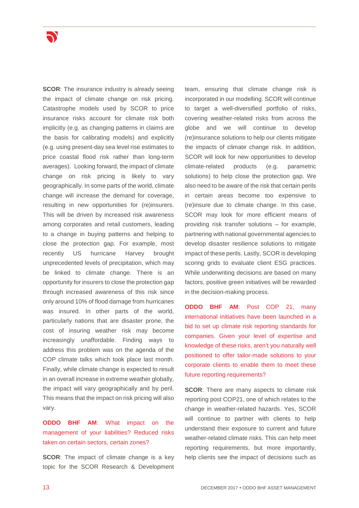

**SCOR:** The insurance industry is already seeing the impact of climate change on risk pricing. Catastrophe models used by SCOR to price insurance risks account for climate risk both implicitly (e.g. as changing patterns in claims are the basis for calibrating models) and explicitly (e.g. using present-day sea level rise estimates to price coastal flood risk rather than long-term averages). Looking forward, the impact of climate change on risk pricing is likely to vary geographically. In some parts of the world, climate change will increase the demand for coverage, resulting in new opportunities for (re)insurers. This will be driven by increased risk awareness among corporates and retail customers, leading to a change in buying patterns and helping to close the protection gap. For example, most recently US hurricane Harvey brought unprecedented levels of precipitation, which may be linked to climate change. There is an opportunity for insurers to close the protection gap through increased awareness of this risk since only around 10% of flood damage from hurricanes was insured. In other parts of the world, particularly nations that are disaster prone, the cost of insuring weather risk may become increasingly unaffordable. Finding ways to address this problem was on the agenda of the COP climate talks which took place last month. Finally, while climate change is expected to result in an overall increase in extreme weather globally, the impact will vary geographically and by peril. This means that the impact on risk pricing will also vary.

**ODDO BHF AM**: What impact on the management of your liabilities? Reduced risks taken on certain sectors, certain zones?

**SCOR:** The impact of climate change is a key topic for the SCOR Research & Development

team, ensuring that climate change risk is incorporated in our modelling. SCOR will continue to target a well-diversified portfolio of risks, covering weather-related risks from across the globe and we will continue to develop (re)insurance solutions to help our clients mitigate the impacts of climate change risk. In addition, SCOR will look for new opportunities to develop climate-related products (e.g. parametric solutions) to help close the protection gap. We also need to be aware of the risk that certain perils in certain areas become too expensive to (re)insure due to climate change. In this case, SCOR may look for more efficient means of providing risk transfer solutions – for example, partnering with national governmental agencies to develop disaster resilience solutions to mitigate impact of these perils. Lastly, SCOR is developing scoring grids to evaluate client ESG practices. While underwriting decisions are based on many factors, positive green initiatives will be rewarded in the decision-making process.

**ODDO BHF AM**: Post COP 21, many international initiatives have been launched in a bid to set up climate risk reporting standards for companies. Given your level of expertise and knowledge of these risks, aren't you naturally well positioned to offer tailor-made solutions to your corporate clients to enable them to meet these future reporting requirements?

**SCOR:** There are many aspects to climate risk reporting post COP21, one of which relates to the change in weather-related hazards. Yes, SCOR will continue to partner with clients to help understand their exposure to current and future weather-related climate risks. This can help meet reporting requirements, but more importantly, help clients see the impact of decisions such as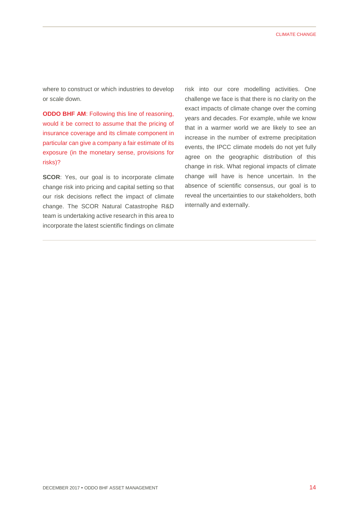where to construct or which industries to develop or scale down.

**ODDO BHF AM**: Following this line of reasoning, would it be correct to assume that the pricing of insurance coverage and its climate component in particular can give a company a fair estimate of its exposure (in the monetary sense, provisions for risks)?

**SCOR:** Yes, our goal is to incorporate climate change risk into pricing and capital setting so that our risk decisions reflect the impact of climate change. The SCOR Natural Catastrophe R&D team is undertaking active research in this area to incorporate the latest scientific findings on climate

risk into our core modelling activities. One challenge we face is that there is no clarity on the exact impacts of climate change over the coming years and decades. For example, while we know that in a warmer world we are likely to see an increase in the number of extreme precipitation events, the IPCC climate models do not yet fully agree on the geographic distribution of this change in risk. What regional impacts of climate change will have is hence uncertain. In the absence of scientific consensus, our goal is to reveal the uncertainties to our stakeholders, both internally and externally.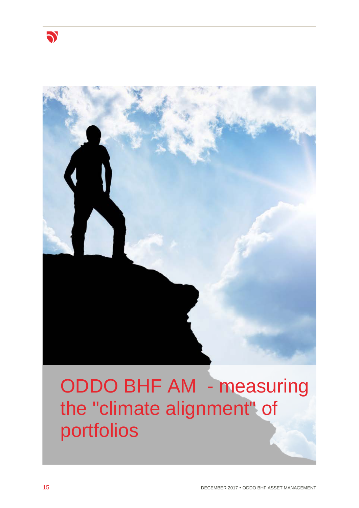

# ODDO BHF AM - measuring the "climate alignment" of portfolios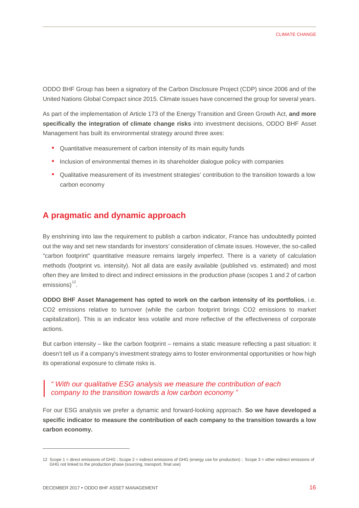ODDO BHF Group has been a signatory of the Carbon Disclosure Project (CDP) since 2006 and of the United Nations Global Compact since 2015. Climate issues have concerned the group for several years.

As part of the implementation of Article 173 of the Energy Transition and Green Growth Act, **and more specifically the integration of climate change risks** into investment decisions, ODDO BHF Asset Management has built its environmental strategy around three axes:

- Quantitative measurement of carbon intensity of its main equity funds
- Inclusion of environmental themes in its shareholder dialogue policy with companies
- Qualitative measurement of its investment strategies' contribution to the transition towards a low carbon economy

## **A pragmatic and dynamic approach**

By enshrining into law the requirement to publish a carbon indicator, France has undoubtedly pointed out the way and set new standards for investors' consideration of climate issues. However, the so-called "carbon footprint" quantitative measure remains largely imperfect. There is a variety of calculation methods (footprint vs. intensity). Not all data are easily available (published vs. estimated) and most often they are limited to direct and indirect emissions in the production phase (scopes 1 and 2 of carbon emissions)<sup>[12](#page-16-0)</sup>.

**ODDO BHF Asset Management has opted to work on the carbon intensity of its portfolios**, i.e. CO2 emissions relative to turnover (while the carbon footprint brings CO2 emissions to market capitalization). This is an indicator less volatile and more reflective of the effectiveness of corporate actions.

But carbon intensity – like the carbon footprint – remains a static measure reflecting a past situation: it doesn't tell us if a company's investment strategy aims to foster environmental opportunities or how high its operational exposure to climate risks is.

#### *" With our qualitative ESG analysis we measure the contribution of each company to the transition towards a low carbon economy "*

For our ESG analysis we prefer a dynamic and forward-looking approach. **So we have developed a specific indicator to measure the contribution of each company to the transition towards a low carbon economy.** 

-

<span id="page-16-0"></span><sup>12</sup> Scope 1 = direct emissions of GHG ; Scope 2 = indirect emissions of GHG (energy use for production) ; Scope 3 = other indirect emissions of GHG not linked to the production phase (sourcing, transport, final use)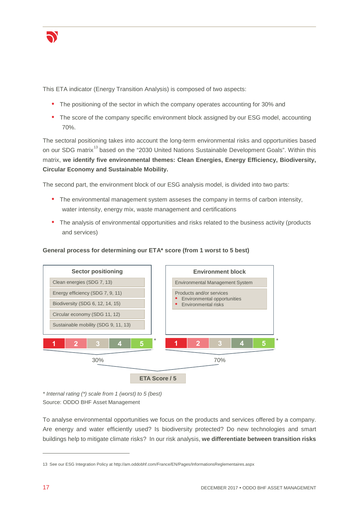

This ETA indicator (Energy Transition Analysis) is composed of two aspects:

- The positioning of the sector in which the company operates accounting for 30% and
- The score of the company specific environment block assigned by our ESG model, accounting 70%.

The sectoral positioning takes into account the long-term environmental risks and opportunities based on our SDG matrix<sup>[13](#page-17-0)</sup> based on the "2030 United Nations Sustainable Development Goals". Within this matrix, **we identify five environmental themes: Clean Energies, Energy Efficiency, Biodiversity, Circular Economy and Sustainable Mobility.**

The second part, the environment block of our ESG analysis model, is divided into two parts:

- The environmental management system asseses the company in terms of carbon intensity, water intensity, energy mix, waste management and certifications
- The analysis of environmental opportunities and risks related to the business activity (products and services)



#### **General process for determining our ETA\* score (from 1 worst to 5 best)**

*\* Internal rating (\*) scale from 1 (worst) to 5 (best)*  Source: ODDO BHF Asset Management

To analyse environmental opportunities we focus on the products and services offered by a company. Are energy and water efficiently used? Is biodiversity protected? Do new technologies and smart buildings help to mitigate climate risks? In our risk analysis, **we differentiate between transition risks**

-

<span id="page-17-0"></span><sup>13</sup> See our ESG Integration Policy at http://am.oddobhf.com/France/EN/Pages/InformationsReglementaires.aspx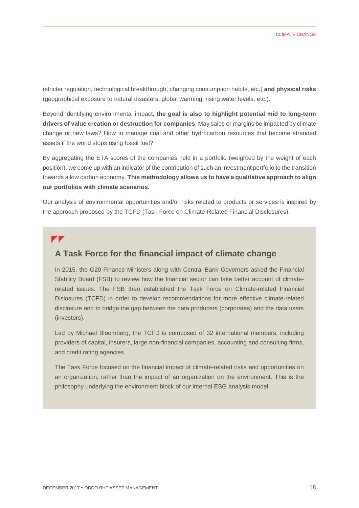(stricter regulation, technological breakthrough, changing consumption habits, etc.) **and physical risks** (geographical exposure to natural disasters, global warming, rising water levels, etc.).

Beyond identifying environmental impact, **the goal is also to highlight potential mid to long-term drivers of value creation or destruction for companies**. May sales or margins be impacted by climate change or new laws? How to manage coal and other hydrocarbon resources that become stranded assets if the world stops using fossil fuel?

By aggregating the ETA scores of the companies held in a portfolio (weighted by the weight of each position), we come up with an indicator of the contribution of such an investment portfolio to the transition towards a low carbon economy. **This methodology allows us to have a qualitative approach to align our portfolios with climate scenarios.**

Our analysis of environmental opportunities and/or risks related to products or services is inspired by the approach proposed by the TCFD (Task Force on Climate-Related Financial Disclosures).

#### $\blacktriangledown$

### **A Task Force for the financial impact of climate change**

In 2015, the G20 Finance Ministers along with Central Bank Governors asked the Financial Stability Board (FSB) to review how the financial sector can take better account of climaterelated issues. The FSB then established the Task Force on Climate-related Financial Dislosures (TCFD) in order to develop recommendations for more effective climate-related disclosure and to bridge the gap between the data producers (corporates) and the data users (investors).

Led by Michael Bloomberg, the TCFD is composed of 32 international members, including providers of capital, insurers, large non-financial companies, accounting and consulting firms, and credit rating agencies.

The Task Force focused on the financial impact of climate-related risks and opportunities on an organization, rather than the impact of an organization on the environment. This is the philosophy underlying the environment block of our internal ESG analysis model.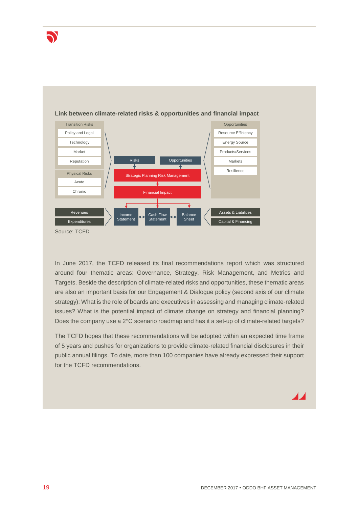



#### **Link between climate-related risks & opportunities and financial impact**

In June 2017, the TCFD released its final recommendations report which was structured around four thematic areas: Governance, Strategy, Risk Management, and Metrics and Targets. Beside the description of climate-related risks and opportunities, these thematic areas are also an important basis for our Engagement & Dialogue policy (second axis of our climate strategy): What is the role of boards and executives in assessing and managing climate-related issues? What is the potential impact of climate change on strategy and financial planning? Does the company use a 2°C scenario roadmap and has it a set-up of climate-related targets?

The TCFD hopes that these recommendations will be adopted within an expected time frame of 5 years and pushes for organizations to provide climate-related financial disclosures in their public annual filings. To date, more than 100 companies have already expressed their support for the TCFD recommendations.

# 47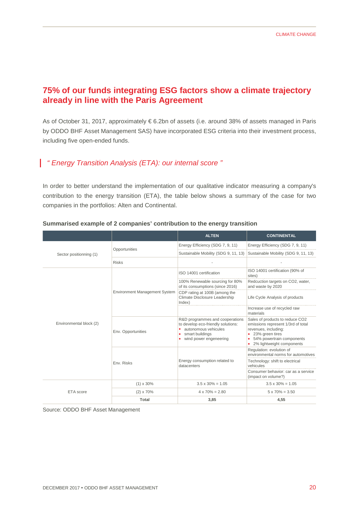# **75% of our funds integrating ESG factors show a climate trajectory already in line with the Paris Agreement**

As of October 31, 2017, approximately € 6.2bn of assets (i.e. around 38% of assets managed in Paris by ODDO BHF Asset Management SAS) have incorporated ESG criteria into their investment process, including five open-ended funds.

## *" Energy Transition Analysis (ETA): our internal score "*

In order to better understand the implementation of our qualitative indicator measuring a company's contribution to the energy transition (ETA), the table below shows a summary of the case for two companies in the portfolios: Alten and Continental.

|                         |                                      | <b>ALTEN</b>                                                                                                                                    | <b>CONTINENTAL</b>                                                                                                                                                               |
|-------------------------|--------------------------------------|-------------------------------------------------------------------------------------------------------------------------------------------------|----------------------------------------------------------------------------------------------------------------------------------------------------------------------------------|
| Sector positionning (1) | Opportunities                        | Energy Efficiency (SDG 7, 9, 11)                                                                                                                | Energy Efficiency (SDG 7, 9, 11)                                                                                                                                                 |
|                         |                                      | Sustainable Mobility (SDG 9, 11, 13)                                                                                                            | Sustainable Mobility (SDG 9, 11, 13)                                                                                                                                             |
|                         | <b>Risks</b>                         |                                                                                                                                                 |                                                                                                                                                                                  |
| Environmental block (2) | <b>Environment Management System</b> | ISO 14001 certification                                                                                                                         | ISO 14001 certification (90% of<br>sites)                                                                                                                                        |
|                         |                                      | 100% Renewable sourcing for 80%<br>of its consumptions (since 2016)                                                                             | Redcuction targets on CO2, water,<br>and waste by 2020                                                                                                                           |
|                         |                                      | CDP rating at 100B (among the<br>Climate Disclosure Leadership<br>Index)                                                                        | Life Cycle Analysis of products                                                                                                                                                  |
|                         |                                      |                                                                                                                                                 | Increase use of recycled raw<br>materials                                                                                                                                        |
|                         | Env. Opportunities                   | R&D programmes and cooperations<br>to develop eco-friendly solutions:<br>autonomous vehicules<br>smart buildings<br>wind power engeneering<br>٠ | Sales of products to reduce CO2<br>emissions represent 1/3rd of total<br>revenues, including:<br>• 23% green tires<br>• 54% powertrain components<br>• 2% lightweight components |
|                         | Env. Risks                           | Energy consumption related to<br>datacenters                                                                                                    | Regulation: evolution of<br>environmental norms for automotives                                                                                                                  |
|                         |                                      |                                                                                                                                                 | Technology: shift to electrical<br>vehicules                                                                                                                                     |
|                         |                                      |                                                                                                                                                 | Consumer behavior: car as a service<br>(impact on volume?)                                                                                                                       |
| ETA score               | $(1) \times 30\%$                    | $3.5 \times 30\% = 1.05$                                                                                                                        | $3.5 \times 30\% = 1.05$                                                                                                                                                         |
|                         | $(2) \times 70\%$                    | $4 \times 70\% = 2.80$                                                                                                                          | $5 \times 70\% = 3.50$                                                                                                                                                           |
|                         | Total                                | 3,85                                                                                                                                            | 4,55                                                                                                                                                                             |

#### **Summarised example of 2 companies' contribution to the energy transition**

Source: ODDO BHF Asset Management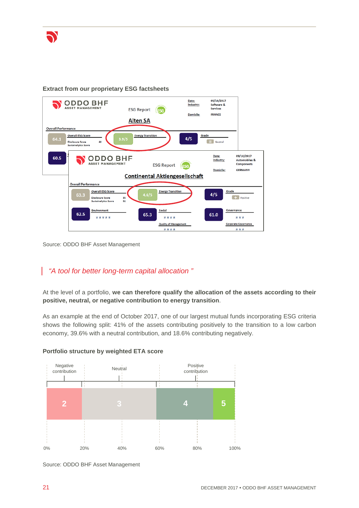

#### **Extract from our proprietary ESG factsheets**



Source: ODDO BHF Asset Management

## *"A tool for better long-term capital allocation "*

At the level of a portfolio, **we can therefore qualify the allocation of the assets according to their positive, neutral, or negative contribution to energy transition**.

As an example at the end of October 2017, one of our largest mutual funds incorporating ESG criteria shows the following split: 41% of the assets contributing positively to the transition to a low carbon economy, 39.6% with a neutral contribution, and 18.6% contributing negatively.



#### **Portfolio structure by weighted ETA score**

Source: ODDO BHF Asset Management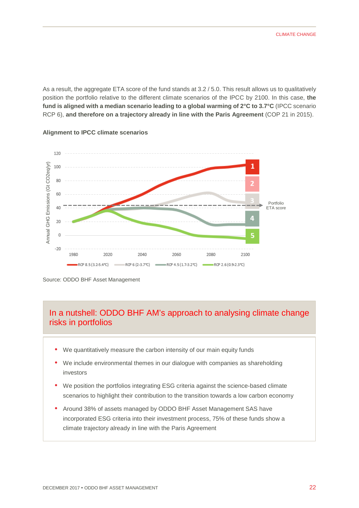As a result, the aggregate ETA score of the fund stands at 3.2 / 5.0. This result allows us to qualitatively position the portfolio relative to the different climate scenarios of the IPCC by 2100. In this case, **the fund is aligned with a median scenario leading to a global warming of 2°C to 3.7°C** (IPCC scenario RCP 6), **and therefore on a trajectory already in line with the Paris Agreement** (COP 21 in 2015).



#### **Alignment to IPCC climate scenarios**

# In a nutshell: ODDO BHF AM's approach to analysing climate change risks in portfolios

- We quantitatively measure the carbon intensity of our main equity funds
- We include environmental themes in our dialogue with companies as shareholding investors
- We position the portfolios integrating ESG criteria against the science-based climate scenarios to highlight their contribution to the transition towards a low carbon economy
- Around 38% of assets managed by ODDO BHF Asset Management SAS have incorporated ESG criteria into their investment process, 75% of these funds show a climate trajectory already in line with the Paris Agreement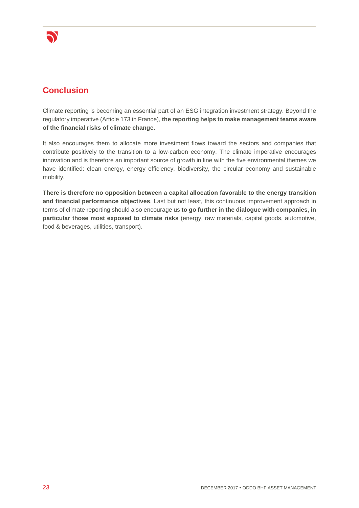

# **Conclusion**

Climate reporting is becoming an essential part of an ESG integration investment strategy. Beyond the regulatory imperative (Article 173 in France), **the reporting helps to make management teams aware of the financial risks of climate change**.

It also encourages them to allocate more investment flows toward the sectors and companies that contribute positively to the transition to a low-carbon economy. The climate imperative encourages innovation and is therefore an important source of growth in line with the five environmental themes we have identified: clean energy, energy efficiency, biodiversity, the circular economy and sustainable mobility.

**There is therefore no opposition between a capital allocation favorable to the energy transition and financial performance objectives**. Last but not least, this continuous improvement approach in terms of climate reporting should also encourage us **to go further in the dialogue with companies, in particular those most exposed to climate risks** (energy, raw materials, capital goods, automotive, food & beverages, utilities, transport).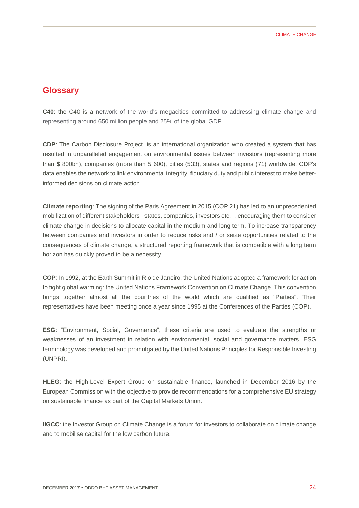## **Glossary**

**C40**: the C40 is a network of the world's megacities committed to addressing climate change and representing around 650 million people and 25% of the global GDP.

**CDP**: The Carbon Disclosure Project is an international organization who created a system that has resulted in unparalleled engagement on environmental issues between investors (representing more than \$ 800bn), companies (more than 5 600), cities (533), states and regions (71) worldwide. CDP's data enables the network to link environmental integrity, fiduciary duty and public interest to make betterinformed decisions on climate action.

**Climate reporting**: The signing of the Paris Agreement in 2015 (COP 21) has led to an unprecedented mobilization of different stakeholders - states, companies, investors etc. -, encouraging them to consider climate change in decisions to allocate capital in the medium and long term. To increase transparency between companies and investors in order to reduce risks and / or seize opportunities related to the consequences of climate change, a structured reporting framework that is compatible with a long term horizon has quickly proved to be a necessity.

**COP**: In 1992, at the Earth Summit in Rio de Janeiro, the United Nations adopted a framework for action to fight global warming: the United Nations Framework Convention on Climate Change. This convention brings together almost all the countries of the world which are qualified as "Parties". Their representatives have been meeting once a year since 1995 at the Conferences of the Parties (COP).

**ESG**: "Environment, Social, Governance", these criteria are used to evaluate the strengths or weaknesses of an investment in relation with environmental, social and governance matters. ESG terminology was developed and promulgated by the United Nations Principles for Responsible Investing (UNPRI).

**HLEG**: the High-Level Expert Group on sustainable finance, launched in December 2016 by the European Commission with the objective to provide recommendations for a comprehensive EU strategy on sustainable finance as part of the Capital Markets Union.

**IIGCC**: the Investor Group on Climate Change is a forum for investors to collaborate on climate change and to mobilise capital for the low carbon future.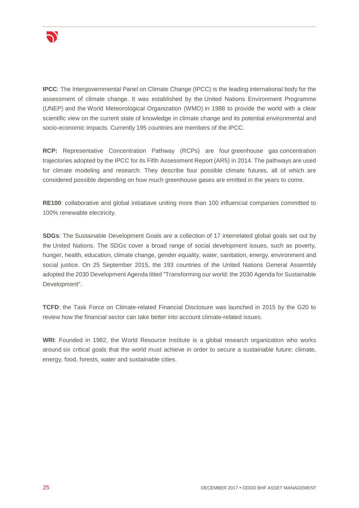

**IPCC**: The Intergovernmental Panel on Climate Change (IPCC) is the leading international body for the assessment of climate change. It was established by the [United Nations Environment Programme](http://ipcc.ch/docs/UNEP_GC-14_decision_IPCC_1987.pdf)  [\(UNEP\)](http://ipcc.ch/docs/UNEP_GC-14_decision_IPCC_1987.pdf) and the [World Meteorological Organization \(WMO\)](http://ipcc.ch/docs/WMO_resolution4_on_IPCC_1988.pdf) in 1988 to provide the world with a clear scientific view on the current state of knowledge in climate change and its potential environmental and socio-economic impacts. Currently [195 countries](http://ipcc.ch/pdf/ipcc-faq/ipcc_members.pdf) are members of the IPCC.

**RCP:** Representative Concentration Pathway (RCPs) are four [greenhouse gas](https://en.wikipedia.org/wiki/Greenhouse_gas) concentration trajectories adopted by the [IPCC](https://en.wikipedia.org/wiki/Intergovernmental_Panel_on_Climate_Change) for its [Fifth Assessment Report \(AR5\)](https://en.wikipedia.org/wiki/IPCC_Fifth_Assessment_Report) in 2014. The pathways are used for climate modeling and research. They describe four possible climate futures, all of which are considered possible depending on how much greenhouse gases are emitted in the years to come.

**RE100**: collaborative and global initiatiave uniting more than 100 influencial companies committed to 100% renewable electricity.

**SDGs**: The Sustainable Development Goals are a collection of 17 interrelated global goals set out by the [United Nations.](https://en.wikipedia.org/wiki/United_Nations) The SDGs cover a broad range of social development issues, such as poverty, hunger, health, education, climate change, gender equality, water, sanitation, energy, environment and social justice. On 25 September 2015, the 193 countries of the United Nations General Assembly adopted the 2030 Development Agenda titled "Transforming our world: the 2030 Agenda for Sustainable Development".

**TCFD**: the Task Force on Climate-related Financial Disclosure was launched in 2015 by the G20 to review how the financial sector can take better into account climate-related issues.

**WRI**: Founded in 1982, the World Resource Institute is a global research organization who works around six critical goals that the world must achieve in order to secure a sustainable future: climate, energy, food, forests, water and sustainable cities.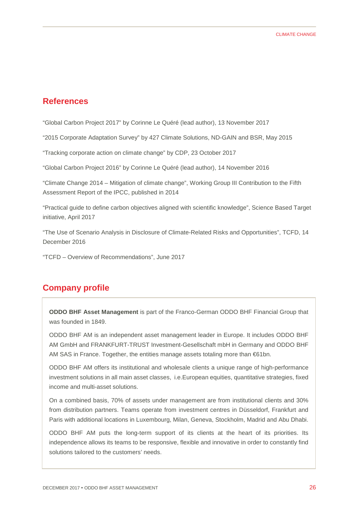### **References**

"Global Carbon Project 2017" by Corinne Le Quéré (lead author), 13 November 2017

"2015 Corporate Adaptation Survey" by 427 Climate Solutions, ND-GAIN and BSR, May 2015

"Tracking corporate action on climate change" by CDP, 23 October 2017

"Global Carbon Project 2016" by Corinne Le Quéré (lead author), 14 November 2016

"Climate Change 2014 – Mitigation of climate change", Working Group III Contribution to the Fifth Assessment Report of the IPCC, published in 2014

"Practical guide to define carbon objectives aligned with scientific knowledge", Science Based Target initiative, April 2017

"The Use of Scenario Analysis in Disclosure of Climate-Related Risks and Opportunities", TCFD, 14 December 2016

"TCFD – Overview of Recommendations", June 2017

## **Company profile**

**ODDO BHF Asset Management** is part of the Franco-German ODDO BHF Financial Group that was founded in 1849.

ODDO BHF AM is an independent asset management leader in Europe. It includes ODDO BHF AM GmbH and FRANKFURT-TRUST Investment-Gesellschaft mbH in Germany and ODDO BHF AM SAS in France. Together, the entities manage assets totaling more than €61bn.

ODDO BHF AM offers its institutional and wholesale clients a unique range of high-performance investment solutions in all main asset classes, i.e.European equities, quantitative strategies, fixed income and multi-asset solutions.

On a combined basis, 70% of assets under management are from institutional clients and 30% from distribution partners. Teams operate from investment centres in Düsseldorf, Frankfurt and Paris with additional locations in Luxembourg, Milan, Geneva, Stockholm, Madrid and Abu Dhabi.

ODDO BHF AM puts the long-term support of its clients at the heart of its priorities. Its independence allows its teams to be responsive, flexible and innovative in order to constantly find solutions tailored to the customers' needs.